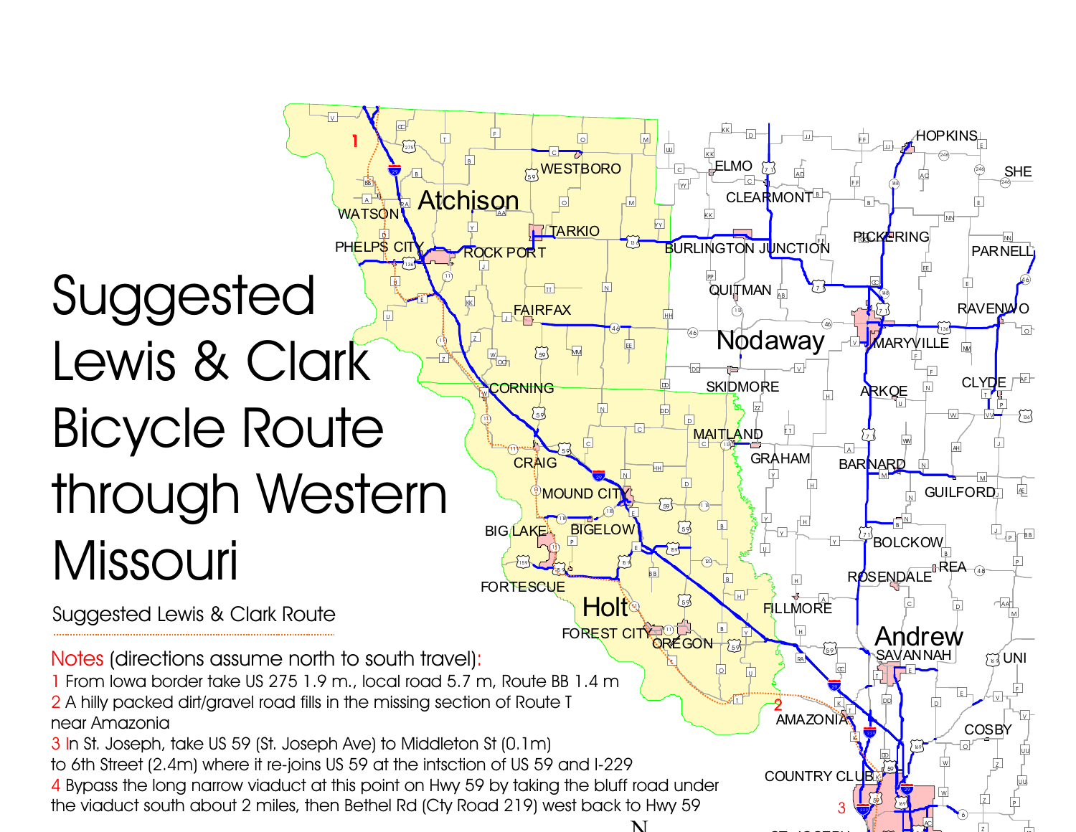## %gD  $^{\circledR}$  $\lbrack \bullet \rbrack$  $\mathbf{F}$  $E \rightarrow \mathbb{R}$  $\lceil \tt{u} \rceil$ g (N H)  $\widehat{\mathfrak{n}}$  $\circledcirc$  ! 1  $Z^*$   $\begin{bmatrix} 1 & 1 \\ 2 & 3 \end{bmatrix}$ ∐\*\*ূ \ ∵"∞ PHELPS CITY POCK PORT BURLINGTON JUNCTION [136] **ROCK PORT** Suggested Lewis & ClarkBicycle Route through WesternMissouri

Suggested Lewis & Clark Route

Notes (directions assume north to south travel):

1 From lowa border take US 275 1.9 m., local road 5.7 m, Route BB 1.4 m

 $\overline{\mathsf{v}}$ 

 $\infty$ 

BB<sup>'</sup>  $\overline{A}$  $\Delta$   $\frac{1}{2}$   $\frac{1}{2}$   $\frac{1}{2}$ 

1

WATSON

 $275$ 

 $\boxed{B}$ 

 $\boxed{I}$ 

 $\overline{B}$ 

 $\bullet$   $\bullet$  (59

Atchison  $\overline{Y}$ 

Y

 $\sqrt{2}$ 

 $\boxed{z}$ 

w,

 $\sqrt{2}$ 

 $^\circledR$ 

 $F$ 

 $\Box$   $\Box$   $\Box$ 

 $\overline{\mid c \mid}$ 

 $\boxed{\circ}$ 

**TITARKIO** 

 $\overline{\mathbf{u}}$ 

 $\overline{\mathsf{M}}$ 

<sub>\_\_</sub>FAIRFAX

W— (59) ™

**[59]** 

(/59

**E**<br>CRAIG

[159]

**FORTESCUE** 

**BIG LAKE** 

**WESTBORO** 

%g<sup>M</sup>

om <mark>m</mark>

46

 $\boxed{N}$ 

 $\boxed{c}$ 

 $\mathop{{\mathbb P}}$ MOUND CITY

 $\overline{P}$  $\odot$ 

 $\mathbb{C}$ 

 $\widetilde{C_59}$ 

 $\sqrt{N}$ 

E<sub>E</sub>

 $\bigodot$ 

ND DD

 $\boxed{\mathsf{N}}$ 

 $\boxed{\epsilon}$ 

 $\widetilde{C}_{5}$ 

 $\overline{B}$  B

 $CIT$  $\sim$ 

FOREST CITY JULY<br>OREGON

 $\overline{\mathbf{r}}$ 

 $^{\circ}$  $\boxed{\epsilon}$ 

®॑──∎<sup>•</sup>৺<br>BIGELOW

 $\overline{\mathbf{29}}$ 

Holt®

 $\boxed{\circ}$ 

%g<sup>Y</sup> <sup>Y</sup>

 $\overline{\mathsf{k}\mathsf{k}}$  $\boxed{\circ}$ 

LELMO

 $\boxed{\mathsf{c}}$ 

QUITMAN <sub>ABI</sub>  $\bigcirc$ 

 $\frac{1}{K}$  KK

 $\overline{\mathsf{k}\mathsf{k}}$ 

%gPP

 $\vert$  C

 $\overline{\mathbf{w}}$ 

 $\Box$ 

CLEARMONT<sup>®</sup>

 $\widetilde{\boxdot}$ 

Nodaway

 $\overline{z}$ 

**SKIDMORE CORNING HERE IN SKIDMORE THE ARKOE IN CLYPE** G <u>ARKOE</u>

 $\overline{\mathsf{v}}$ 

 $X$   $\frac{1}{2}$   $\frac{1}{2}$   $\frac{1}{2}$   $\frac{1}{2}$   $\frac{1}{2}$   $\frac{1}{2}$   $\frac{1}{2}$   $\frac{1}{2}$   $\frac{1}{2}$   $\frac{1}{2}$   $\frac{1}{2}$   $\frac{1}{2}$   $\frac{1}{2}$   $\frac{1}{2}$   $\frac{1}{2}$   $\frac{1}{2}$   $\frac{1}{2}$   $\frac{1}{2}$   $\frac{1}{2}$   $\frac{1}{2}$   $\frac{1}{2}$   $\frac{1}{2$ 

 $\lceil \rceil$ 

 $\overline{Y}$ 

**GRAHAM** 

 $\overline{Y}$ %g

 $\cup$ 

ROSENDALE<sup>BREA</sup>

 $\overline{Y}$ 

 $\overline{H}$ 

 $\boxed{H}$ 

RA

 $\frac{2}{\ell}$ 

Y

 $\overline{H}$ 

 $\varpi$ 

y <u>L</u> M

 $\mathbb{Z}$   $\mathbb{Z}$   $\mathbb{Z}$   $\mathbb{Z}$   $\mathbb{Z}$   $\mathbb{Z}$   $\mathbb{Z}$   $\mathbb{Z}$   $\mathbb{Z}$   $\mathbb{Z}$   $\mathbb{Z}$   $\mathbb{Z}$   $\mathbb{Z}$   $\mathbb{Z}$   $\mathbb{Z}$   $\mathbb{Z}$   $\mathbb{Z}$   $\mathbb{Z}$   $\mathbb{Z}$   $\mathbb{Z}$   $\mathbb{Z}$   $\mathbb{Z}$   $\mathbb{Z}$   $\mathbb{Z}$   $\mathbb{$  $\vert$ H

AD

 $\mathbb{F}_{p}$  Fig.

 $\frac{1}{2}$  FF

 $\Box$  general  $\Box$  general  $\Box$  general  $\Box$  general  $\Box$  general  $\Box$  general  $\Box$  general  $\Box$  general  $\Box$  general  $\Box$  general  $\Box$  general  $\Box$  general  $\Box$  general  $\Box$  general  $\Box$  general  $\Box$  general  $\Box$  general

 $\overline{\text{O}}$   $\begin{array}{cccccccccccccc} \text{O} & \begin{array}{cccccccccc} \text{O} & \begin{array}{cccccccccc} \text{O} & \begin{array}{cccccccccc} \text{O} & \begin{array}{cccccccccc} \text{O} & \begin{array}{cccccc} \text{O} & \begin{array}{cccccc} \text{O} & \begin{array}{cccccc} \text{O} & \begin{array}{cccccc} \text{O} & \begin{array}{cccccc} \text{O} & \begin{array}{cccccc} \text{O} & \begin{array}{cccccc} \text{O} & \begin{array}{cccccc} \text{O} & \begin{array}{cccccc} \text{O} & \begin{array}{cccccc$ 

!"<sup>246</sup>

 $\overline{\mathsf{u}}$ 

 $\overline{P}$ 

 $\sqrt{8}$ 

 $\begin{bmatrix} 2 & 1 & 1 \end{bmatrix}$  . The most contributed by  $\begin{bmatrix} 46 & 1 \end{bmatrix}$  $\alpha$ 

 $\vee$ 

 $\overline{A}$ 

 H $\mathbb{E}$   $\mathbb{E}$   $\mathbb{E}$   $\mathbb{E}$   $\mathbb{E}$   $\mathbb{E}$   $\mathbb{E}$   $\mathbb{E}$   $\mathbb{E}$   $\mathbb{E}$   $\mathbb{E}$   $\mathbb{E}$   $\mathbb{E}$   $\mathbb{E}$   $\mathbb{E}$   $\mathbb{E}$   $\mathbb{E}$   $\mathbb{E}$   $\mathbb{E}$   $\mathbb{E}$   $\mathbb{E}$   $\mathbb{E}$   $\mathbb{E}$   $\mathbb{E}$   $\mathbb{$ 

 $\frac{1}{\sqrt{2}}$  gb  $\frac{1}{\sqrt{2}}$  gb  $\frac{1}{\sqrt{2}}$  gb  $\frac{1}{\sqrt{2}}$  gb  $\frac{1}{\sqrt{2}}$  gb  $\frac{1}{\sqrt{2}}$  gb  $\frac{1}{\sqrt{2}}$ 

 $\bigodot$ 

 $\overline{\mathsf{F}}$ LLMORE

 $\boxed{\infty}$ 

 $\overline{\mathbf{k}}$ KR P

 $\frac{29}{29}$ 

Z<br>AMAZONIA<mark>R</mark>

COUNTRY CLUB

 $\mathbf{k}$ 

 $\frac{229}{2}$ 

69

 $\vee$   $\qquad$   $\qquad$   $\qquad$   $\qquad$   $\qquad$   $\qquad$   $\qquad$   $\qquad$   $\qquad$   $\qquad$   $\qquad$   $\qquad$   $\qquad$   $\qquad$   $\qquad$   $\qquad$   $\qquad$   $\qquad$   $\qquad$   $\qquad$   $\qquad$   $\qquad$   $\qquad$   $\qquad$   $\qquad$   $\qquad$   $\qquad$   $\qquad$   $\qquad$   $\qquad$   $\qquad$   $\qquad$   $\qquad$   $\qquad$   $\qquad$   $\qquad$ 

**ARKOE** 

 $\widetilde{\omega}$ 

 $(148)$ 

ZZI . I . I . <del>I</del> . I . III.

 $\varpi$ 

BARNARD

 $\boxed{v}$ 

%gWW

 $\overline{N}$ 

 $\sqrt{N}$ 

 $E$ 

Andrew

<u>ලැ</u>

 $\overline{\bigcirc}$ 

 $\Box$ 

 $\overline{p}$ 

 $\overline{\mathbb{D}}$ 

/(36

 $\overline{\mathbf{k}}$ 

 $\mathbb{G}$  $\mathbb{P}$   $\left(\begin{smallmatrix} 1 & 0 & 0 \ 0 & 0 & 0 \ 0 & 0 & 0 \end{smallmatrix}\right)$ 

 $\frac{229}{2}$ 

3

 $\sqrt{g}$   $\sqrt{g}$   $\sqrt{g}$   $\sqrt{g}$   $\sqrt{g}$   $\sqrt{g}$   $\sqrt{g}$   $\sqrt{g}$   $\sqrt{g}$   $\sqrt{g}$   $\sqrt{g}$   $\sqrt{g}$   $\sqrt{g}$   $\sqrt{g}$   $\sqrt{g}$   $\sqrt{g}$   $\sqrt{g}$   $\sqrt{g}$   $\sqrt{g}$   $\sqrt{g}$   $\sqrt{g}$   $\sqrt{g}$   $\sqrt{g}$   $\sqrt{g}$   $\sqrt{g}$   $\sqrt{g}$   $\sqrt{g}$   $\sqrt{g$ 

 $\overline{A}$   $\overline{A}$   $\overline{A}$  $\overline{\mathsf{N}}$ 

246

∕HOPKINS⊥

N<sub>N</sub>

 $\epsilon$ 

M<sub>M</sub>

 $\sqrt{p}$ 

 $\widetilde{\mathbb{C}}$ 

 $\overline{\mathsf{w}}$ 

 $\overline{\vee\vee}$ 

 $\Box$ 

 $\overline{\mathsf{J}}$ 

१⊑A—<sub>④</sub>

246)

 $\overline{\mathsf{N}}$ 

 $\boxed{\circ}$ 

AF

 $\widetilde{\Xi}$ 

AE

 $\overline{P}$  BB

 $\boxed{P}$ 

AA DI B

 $M$ 

 $\boxed{F}$ 

 $\mathsf{V}$ 

 $\blacksquare$ 

el *L*ot

**COSBY** 

HU <sub>(43</sub> UNI

 $\boxed{\circ}$ 

 $_{\odot}$ 

 $\overline{\vee}$ 

guu <sub>uu</sub>

 $\overline{z}$  $\mathbb{Z}$   $\boxed{\mathsf{P}}$ 

 $\overline{z}$ 

AC

 $\mathsf{B}$  generalized by  $\mathsf{E}$ 

%gEE

<sub>Fri.</sub> RICKERING <del>i </del>

 $\overline{F}$ 

MARYVILLE

 $\sqrt{N}$ 

 $M$   $M$ 

 $\overline{Q}$  g  $\overline{Q}$ 

**NANAH** 

 $\boxed{\circ}$ 

 $\overline{\mathsf{w}}$ 53 | H

 $\overline{\mathcal{X}}$ 

**guud and a series of the countries of the countries of the countries of the countries of the countries of the**  $\overline{w}$ 

(/<sup>36</sup>

%gHH

 $\overline{\mathbf{D}}$ 

g | 1<mark>13 m</mark>

%gHH

**[59]**  $\mathbb{S}$  13

40

`od

 $\boxed{D}$ 

 $\boxed{D}$ 

 $\widetilde{C_3}$ 

[159]

 $\boxed{B}$ 59

**MAITLAND** 

 $\boxed{B}$  $\boxed{H}$ 

 $\boxed{B}$  $\frac{B}{Y}$  $\sqrt{59}$ 

 $\overline{\circ}$ gi <mark>u</mark>  $\mathbf{r}$ 

 $^{\circ}$ 

 $\mathbb{S}$   $\sqrt{1}$ 

 2A hilly packed dirt/gravel road fills in the missing section of Route Tnear Amazonia

3 I n St. Joseph, take US 59 (St. Joseph Ave) to Middleton St (0.1m)

to 6th Street (2.4m) where it re-joins US 59 at the intsction of US 59 and I-229

4 Bypass the long narrow viaduct at this point on Hwy 59 by taking the bluff road underthe viaduct south about 2 miles, then Bethel Rd (Cty Road 219) west back to Hwy 59

N